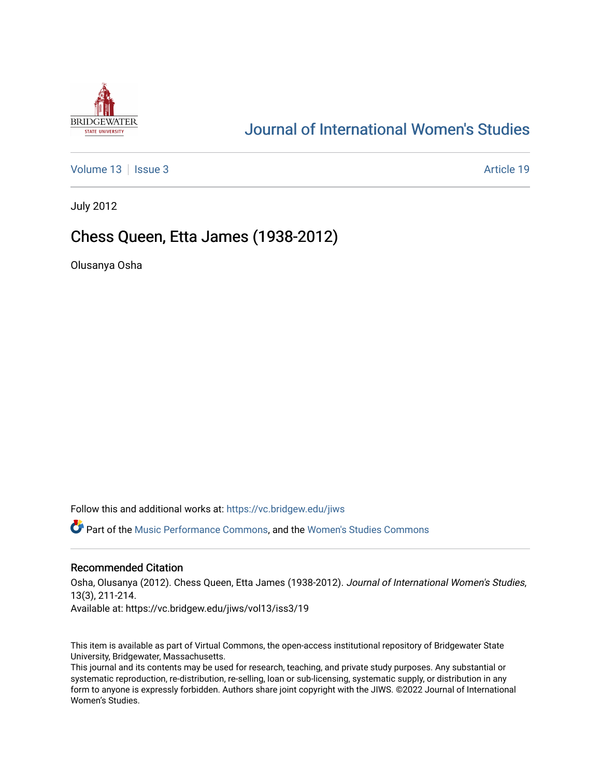

## [Journal of International Women's Studies](https://vc.bridgew.edu/jiws)

[Volume 13](https://vc.bridgew.edu/jiws/vol13) | [Issue 3](https://vc.bridgew.edu/jiws/vol13/iss3) Article 19

July 2012

## Chess Queen, Etta James (1938-2012)

Olusanya Osha

Follow this and additional works at: [https://vc.bridgew.edu/jiws](https://vc.bridgew.edu/jiws?utm_source=vc.bridgew.edu%2Fjiws%2Fvol13%2Fiss3%2F19&utm_medium=PDF&utm_campaign=PDFCoverPages)

Part of the [Music Performance Commons](http://network.bepress.com/hgg/discipline/1128?utm_source=vc.bridgew.edu%2Fjiws%2Fvol13%2Fiss3%2F19&utm_medium=PDF&utm_campaign=PDFCoverPages), and the [Women's Studies Commons](http://network.bepress.com/hgg/discipline/561?utm_source=vc.bridgew.edu%2Fjiws%2Fvol13%2Fiss3%2F19&utm_medium=PDF&utm_campaign=PDFCoverPages) 

## Recommended Citation

Osha, Olusanya (2012). Chess Queen, Etta James (1938-2012). Journal of International Women's Studies, 13(3), 211-214. Available at: https://vc.bridgew.edu/jiws/vol13/iss3/19

This item is available as part of Virtual Commons, the open-access institutional repository of Bridgewater State University, Bridgewater, Massachusetts.

This journal and its contents may be used for research, teaching, and private study purposes. Any substantial or systematic reproduction, re-distribution, re-selling, loan or sub-licensing, systematic supply, or distribution in any form to anyone is expressly forbidden. Authors share joint copyright with the JIWS. ©2022 Journal of International Women's Studies.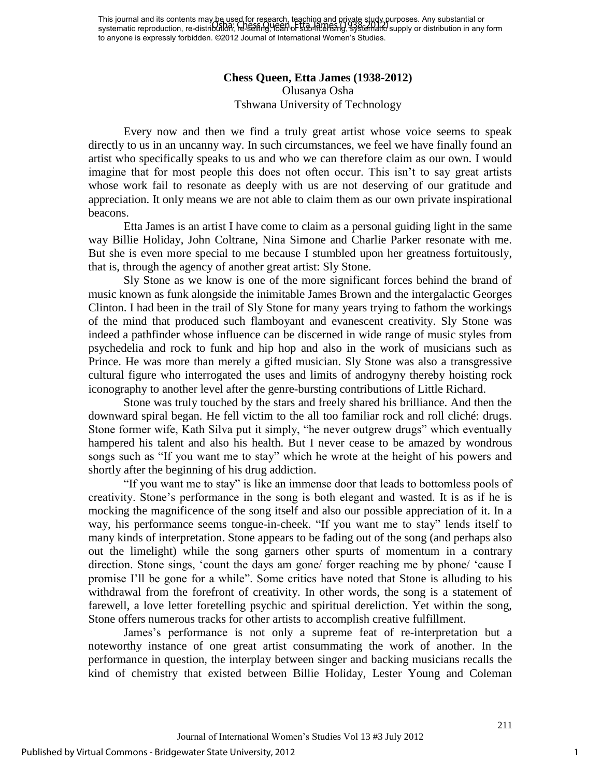This journal and its contents may be used for research, teaching and private study purposes. Any substantial or This journal and its contents may be asserted research, research, research with the supply purposes. Any substantial or<br>systematic reproduction, re-distribution; felseling, 162n of 500-http://feash.g. systematic supply or to anyone is expressly forbidden. ©2012 Journal of International Women's Studies.

## **Chess Queen, Etta James (1938-2012)**  Olusanya Osha Tshwana University of Technology

Every now and then we find a truly great artist whose voice seems to speak directly to us in an uncanny way. In such circumstances, we feel we have finally found an artist who specifically speaks to us and who we can therefore claim as our own. I would imagine that for most people this does not often occur. This isn"t to say great artists whose work fail to resonate as deeply with us are not deserving of our gratitude and appreciation. It only means we are not able to claim them as our own private inspirational beacons.

Etta James is an artist I have come to claim as a personal guiding light in the same way Billie Holiday, John Coltrane, Nina Simone and Charlie Parker resonate with me. But she is even more special to me because I stumbled upon her greatness fortuitously, that is, through the agency of another great artist: Sly Stone.

Sly Stone as we know is one of the more significant forces behind the brand of music known as funk alongside the inimitable James Brown and the intergalactic Georges Clinton. I had been in the trail of Sly Stone for many years trying to fathom the workings of the mind that produced such flamboyant and evanescent creativity. Sly Stone was indeed a pathfinder whose influence can be discerned in wide range of music styles from psychedelia and rock to funk and hip hop and also in the work of musicians such as Prince. He was more than merely a gifted musician. Sly Stone was also a transgressive cultural figure who interrogated the uses and limits of androgyny thereby hoisting rock iconography to another level after the genre-bursting contributions of Little Richard.

Stone was truly touched by the stars and freely shared his brilliance. And then the downward spiral began. He fell victim to the all too familiar rock and roll cliché: drugs. Stone former wife, Kath Silva put it simply, "he never outgrew drugs" which eventually hampered his talent and also his health. But I never cease to be amazed by wondrous songs such as "If you want me to stay" which he wrote at the height of his powers and shortly after the beginning of his drug addiction.

"If you want me to stay" is like an immense door that leads to bottomless pools of creativity. Stone"s performance in the song is both elegant and wasted. It is as if he is mocking the magnificence of the song itself and also our possible appreciation of it. In a way, his performance seems tongue-in-cheek. "If you want me to stay" lends itself to many kinds of interpretation. Stone appears to be fading out of the song (and perhaps also out the limelight) while the song garners other spurts of momentum in a contrary direction. Stone sings, "count the days am gone/ forger reaching me by phone/ "cause I promise I"ll be gone for a while". Some critics have noted that Stone is alluding to his withdrawal from the forefront of creativity. In other words, the song is a statement of farewell, a love letter foretelling psychic and spiritual dereliction. Yet within the song, Stone offers numerous tracks for other artists to accomplish creative fulfillment.

James"s performance is not only a supreme feat of re-interpretation but a noteworthy instance of one great artist consummating the work of another. In the performance in question, the interplay between singer and backing musicians recalls the kind of chemistry that existed between Billie Holiday, Lester Young and Coleman

1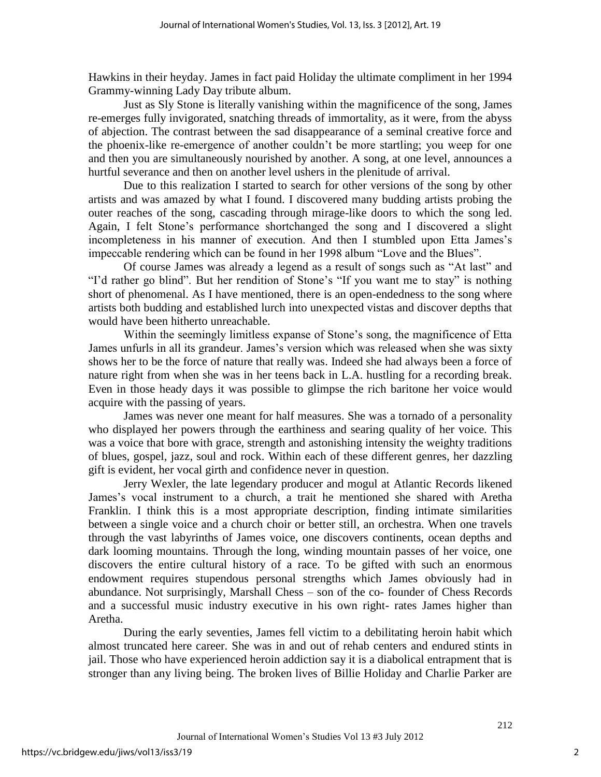Hawkins in their heyday. James in fact paid Holiday the ultimate compliment in her 1994 Grammy-winning Lady Day tribute album.

Just as Sly Stone is literally vanishing within the magnificence of the song, James re-emerges fully invigorated, snatching threads of immortality, as it were, from the abyss of abjection. The contrast between the sad disappearance of a seminal creative force and the phoenix-like re-emergence of another couldn"t be more startling; you weep for one and then you are simultaneously nourished by another. A song, at one level, announces a hurtful severance and then on another level ushers in the plenitude of arrival.

Due to this realization I started to search for other versions of the song by other artists and was amazed by what I found. I discovered many budding artists probing the outer reaches of the song, cascading through mirage-like doors to which the song led. Again, I felt Stone"s performance shortchanged the song and I discovered a slight incompleteness in his manner of execution. And then I stumbled upon Etta James"s impeccable rendering which can be found in her 1998 album "Love and the Blues".

Of course James was already a legend as a result of songs such as "At last" and "I'd rather go blind". But her rendition of Stone's "If you want me to stay" is nothing short of phenomenal. As I have mentioned, there is an open-endedness to the song where artists both budding and established lurch into unexpected vistas and discover depths that would have been hitherto unreachable.

Within the seemingly limitless expanse of Stone"s song, the magnificence of Etta James unfurls in all its grandeur. James"s version which was released when she was sixty shows her to be the force of nature that really was. Indeed she had always been a force of nature right from when she was in her teens back in L.A. hustling for a recording break. Even in those heady days it was possible to glimpse the rich baritone her voice would acquire with the passing of years.

James was never one meant for half measures. She was a tornado of a personality who displayed her powers through the earthiness and searing quality of her voice. This was a voice that bore with grace, strength and astonishing intensity the weighty traditions of blues, gospel, jazz, soul and rock. Within each of these different genres, her dazzling gift is evident, her vocal girth and confidence never in question.

Jerry Wexler, the late legendary producer and mogul at Atlantic Records likened James"s vocal instrument to a church, a trait he mentioned she shared with Aretha Franklin. I think this is a most appropriate description, finding intimate similarities between a single voice and a church choir or better still, an orchestra. When one travels through the vast labyrinths of James voice, one discovers continents, ocean depths and dark looming mountains. Through the long, winding mountain passes of her voice, one discovers the entire cultural history of a race. To be gifted with such an enormous endowment requires stupendous personal strengths which James obviously had in abundance. Not surprisingly, Marshall Chess – son of the co- founder of Chess Records and a successful music industry executive in his own right- rates James higher than Aretha.

During the early seventies, James fell victim to a debilitating heroin habit which almost truncated here career. She was in and out of rehab centers and endured stints in jail. Those who have experienced heroin addiction say it is a diabolical entrapment that is stronger than any living being. The broken lives of Billie Holiday and Charlie Parker are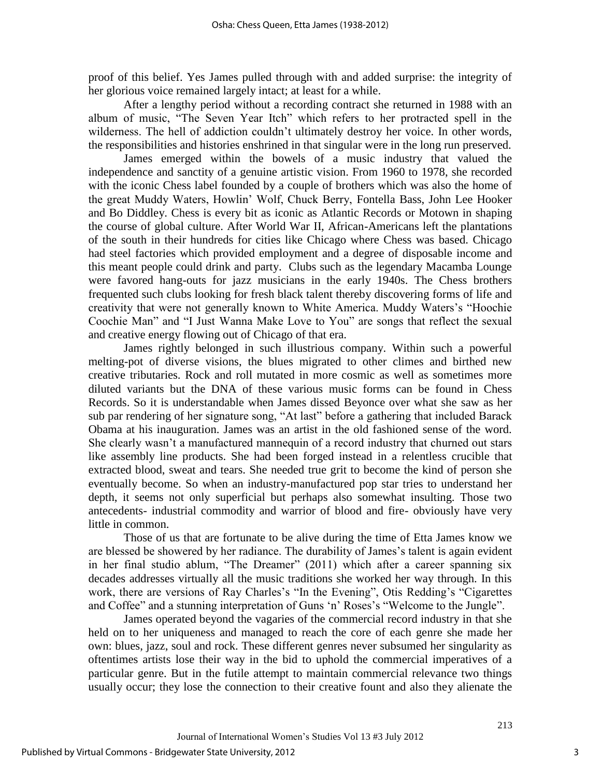proof of this belief. Yes James pulled through with and added surprise: the integrity of her glorious voice remained largely intact; at least for a while.

After a lengthy period without a recording contract she returned in 1988 with an album of music, "The Seven Year Itch" which refers to her protracted spell in the wilderness. The hell of addiction couldn't ultimately destroy her voice. In other words, the responsibilities and histories enshrined in that singular were in the long run preserved.

James emerged within the bowels of a music industry that valued the independence and sanctity of a genuine artistic vision. From 1960 to 1978, she recorded with the iconic Chess label founded by a couple of brothers which was also the home of the great Muddy Waters, Howlin" Wolf, Chuck Berry, Fontella Bass, John Lee Hooker and Bo Diddley. Chess is every bit as iconic as Atlantic Records or Motown in shaping the course of global culture. After World War II, African-Americans left the plantations of the south in their hundreds for cities like Chicago where Chess was based. Chicago had steel factories which provided employment and a degree of disposable income and this meant people could drink and party. Clubs such as the legendary Macamba Lounge were favored hang-outs for jazz musicians in the early 1940s. The Chess brothers frequented such clubs looking for fresh black talent thereby discovering forms of life and creativity that were not generally known to White America. Muddy Waters"s "Hoochie Coochie Man" and "I Just Wanna Make Love to You" are songs that reflect the sexual and creative energy flowing out of Chicago of that era.

James rightly belonged in such illustrious company. Within such a powerful melting-pot of diverse visions, the blues migrated to other climes and birthed new creative tributaries. Rock and roll mutated in more cosmic as well as sometimes more diluted variants but the DNA of these various music forms can be found in Chess Records. So it is understandable when James dissed Beyonce over what she saw as her sub par rendering of her signature song, "At last" before a gathering that included Barack Obama at his inauguration. James was an artist in the old fashioned sense of the word. She clearly wasn"t a manufactured mannequin of a record industry that churned out stars like assembly line products. She had been forged instead in a relentless crucible that extracted blood, sweat and tears. She needed true grit to become the kind of person she eventually become. So when an industry-manufactured pop star tries to understand her depth, it seems not only superficial but perhaps also somewhat insulting. Those two antecedents- industrial commodity and warrior of blood and fire- obviously have very little in common.

Those of us that are fortunate to be alive during the time of Etta James know we are blessed be showered by her radiance. The durability of James"s talent is again evident in her final studio ablum, "The Dreamer" (2011) which after a career spanning six decades addresses virtually all the music traditions she worked her way through. In this work, there are versions of Ray Charles's "In the Evening", Otis Redding's "Cigarettes and Coffee" and a stunning interpretation of Guns 'n' Roses's "Welcome to the Jungle".

James operated beyond the vagaries of the commercial record industry in that she held on to her uniqueness and managed to reach the core of each genre she made her own: blues, jazz, soul and rock. These different genres never subsumed her singularity as oftentimes artists lose their way in the bid to uphold the commercial imperatives of a particular genre. But in the futile attempt to maintain commercial relevance two things usually occur; they lose the connection to their creative fount and also they alienate the